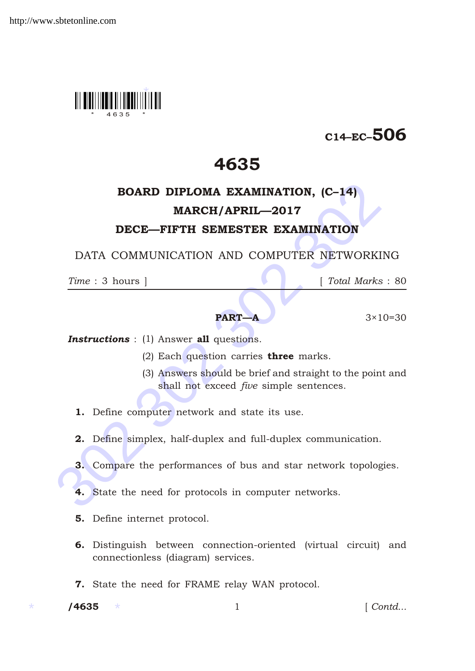

# C14–EC–506

# 4635

# **BOARD DIPLOMA EXAMINATION, (C-14)**<br> **MARCH/APRIL—2017**<br> **DECE—FIFTH SEMESTER EXAMINATION**<br>
DATA COMMUNICATION AND COMPUTER NETWORKING<br>  $\frac{Time: 3 \text{ hours}}{Time: 3 \text{ hours}}$ <br> **PART—A**  $3 \times 10=$ <br> **I** *Total Marks* :<br> **PART—A**  $3 \times 10=$ BOARD DIPLOMA EXAMINATION, (C–14) MARCH/APRIL—2017 DECE—FIFTH SEMESTER EXAMINATION

DATA COMMUNICATION AND COMPUTER NETWORKING

*Time* : 3 hours ] [ *Total Marks* : 80

## **PART—A**  $3 \times 10 = 30$

**Instructions** : (1) Answer all questions.

- (2) Each question carries **three** marks.
- (3) Answers should be brief and straight to the point and shall not exceed *five* simple sentences.
- 1. Define computer network and state its use.
- 2. Define simplex, half-duplex and full-duplex communication.
- 3. Compare the performances of bus and star network topologies.
- 4. State the need for protocols in computer networks.
- 5. Define internet protocol.
- 6. Distinguish between connection-oriented (virtual circuit) and connectionless (diagram) services.
- 7. State the need for FRAME relay WAN protocol.

/4635

1 *Contd...*